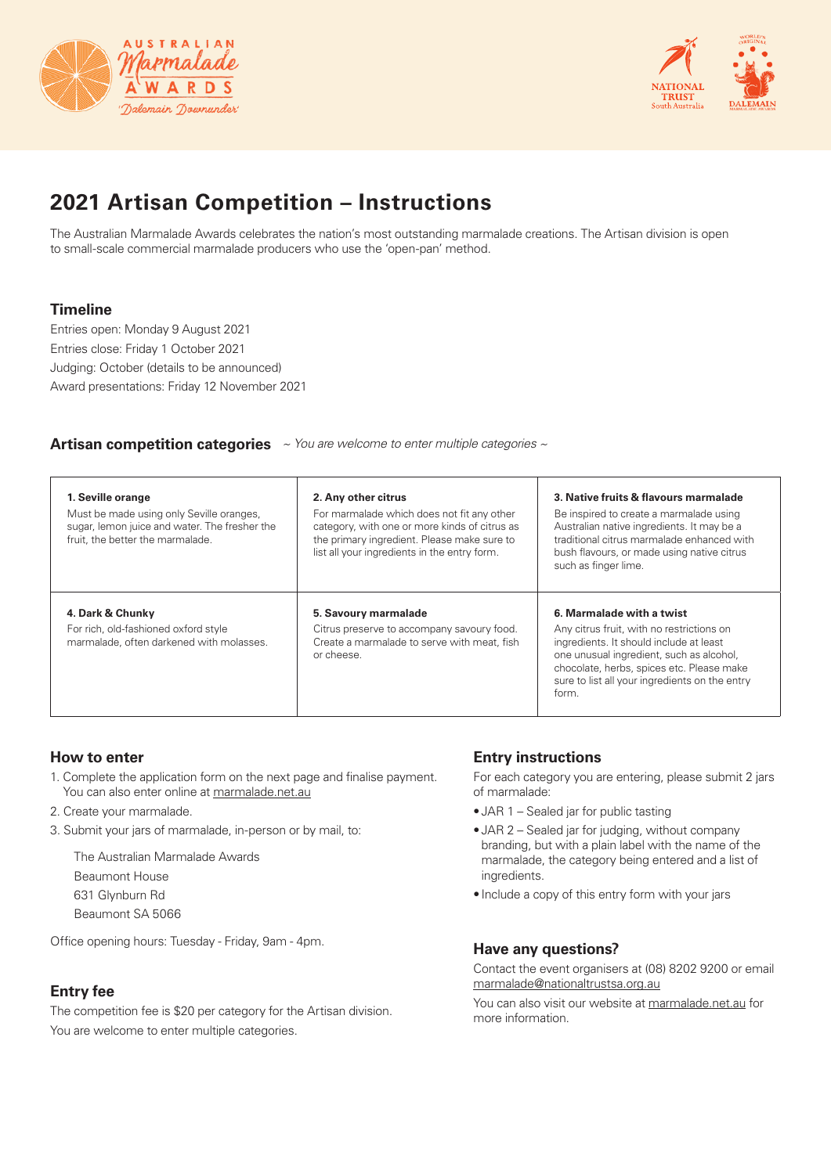



## **2021 Artisan Competition – Instructions**

The Australian Marmalade Awards celebrates the nation's most outstanding marmalade creations. The Artisan division is open to small-scale commercial marmalade producers who use the 'open-pan' method.

## **Timeline**

Entries open: Monday 9 August 2021 Entries close: Friday 1 October 2021 Judging: October (details to be announced) Award presentations: Friday 12 November 2021

#### **Artisan competition categories** *~ You are welcome to enter multiple categories ~*

| 1. Seville orange<br>Must be made using only Seville oranges,<br>sugar, lemon juice and water. The fresher the<br>fruit, the better the marmalade. | 2. Any other citrus<br>For marmalade which does not fit any other<br>category, with one or more kinds of citrus as<br>the primary ingredient. Please make sure to<br>list all your ingredients in the entry form. | 3. Native fruits & flavours marmalade<br>Be inspired to create a marmalade using<br>Australian native ingredients. It may be a<br>traditional citrus marmalade enhanced with<br>bush flavours, or made using native citrus<br>such as finger lime.                    |
|----------------------------------------------------------------------------------------------------------------------------------------------------|-------------------------------------------------------------------------------------------------------------------------------------------------------------------------------------------------------------------|-----------------------------------------------------------------------------------------------------------------------------------------------------------------------------------------------------------------------------------------------------------------------|
| 4. Dark & Chunky<br>For rich, old-fashioned oxford style<br>marmalade, often darkened with molasses.                                               | 5. Savoury marmalade<br>Citrus preserve to accompany savoury food.<br>Create a marmalade to serve with meat, fish<br>or cheese.                                                                                   | 6. Marmalade with a twist<br>Any citrus fruit, with no restrictions on<br>ingredients. It should include at least<br>one unusual ingredient, such as alcohol,<br>chocolate, herbs, spices etc. Please make<br>sure to list all your ingredients on the entry<br>form. |

## **How to enter**

- 1. Complete the application form on the next page and finalise payment. You can also enter online at marmalade.net.au
- 2. Create your marmalade.
- 3. Submit your jars of marmalade, in-person or by mail, to:
	- The Australian Marmalade Awards
	- Beaumont House
	- 631 Glynburn Rd
	- Beaumont SA 5066

Office opening hours: Tuesday - Friday, 9am - 4pm.

## **Entry fee**

The competition fee is \$20 per category for the Artisan division. You are welcome to enter multiple categories.

## **Entry instructions**

For each category you are entering, please submit 2 jars of marmalade:

- JAR 1 Sealed jar for public tasting
- JAR 2 Sealed jar for judging, without company branding, but with a plain label with the name of the marmalade, the category being entered and a list of ingredients.
- Include a copy of this entry form with your jars

#### **Have any questions?**

Contact the event organisers at (08) 8202 9200 or email marmalade@nationaltrustsa.org.au

You can also visit our website at marmalade.net.au for more information.